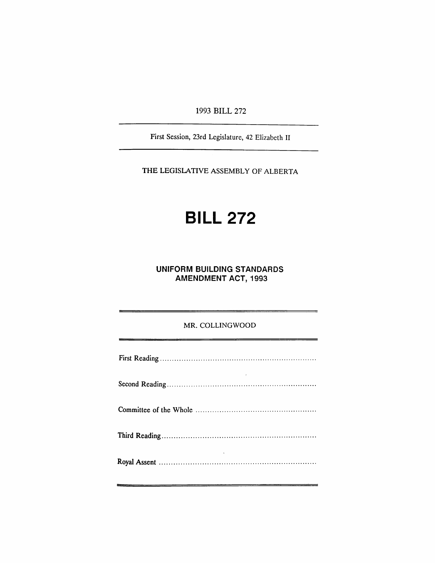1993 BILL 272

First Session, 23rd Legislature, 42 Elizabeth II

THE LEGISLATIVE ASSEMBLY OF ALBERTA

# **BILL** 272

UNIFORM BUILDING STANDARDS AMENDMENT ACT, 1993

## MR. COLLINGWOOD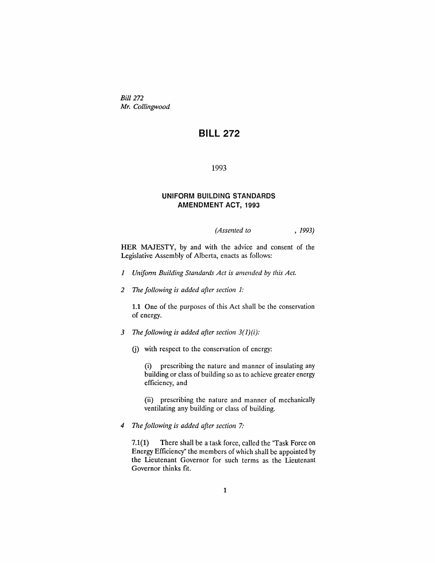*Bill 272 Mr. Collingwood*

# **BILL 272**

1993

#### **UNIFORM BUILDING STANDARDS AMENDMENT ACT, 1993**

*(Assented to* , 1993)

HER MAJESTY, by and with the advice and consent of the Legislative Assembly of Alberta, enacts as follows:

- *1 Unifonn Building Standards Act is amended* by *this Act.*
- *2* TIle *following is added after section 1:*

1.1 One of the purposes of this Act shall be the conservation of energy.

- 3 The *following is added after section 3(1)(i):*
	- G) with respect to the conservation of energy:

(i) prescribing the nature and manner of insulating any building or class of building so as to achieve greater energy efficiency, and

(ii) prescribing the nature and manner of mechanically ventilating any building or class of building.

*4* TIle *following is added after section 7:*

7.1(1) There shall be a task force, called the "Task Force on Energy Efficiency" the members of which shall be appointed by the Lieutenant Governor for such terms as the Lieutenant Governor thinks fit.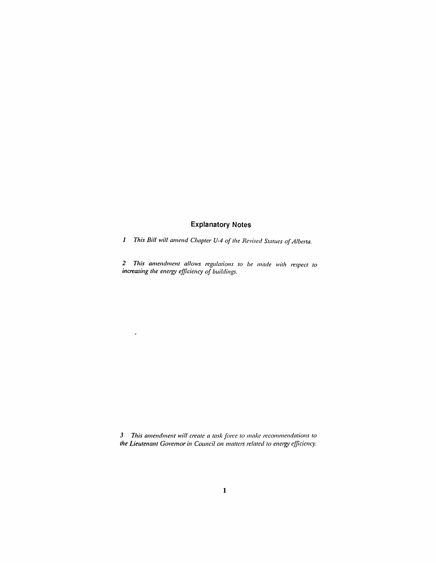### **Explanatory Notes**

*1 This Bill will amend Chapter U-4 of the Revised Statues ofAlbe/ta.*

*2 This amendment allows regulations to be made with respect to increasing the energy efficiency of buildings.*

 $\overline{\phantom{a}}$ 

*3 This amendment will create a task fOlre to make recommendations to the Lieutenant Govemor in COllncil on mattei'S related to energy efficiency.*